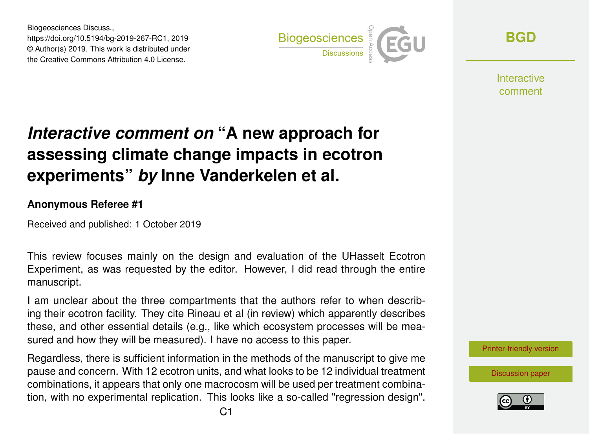Biogeosciences Discuss., https://doi.org/10.5194/bg-2019-267-RC1, 2019 © Author(s) 2019. This work is distributed under the Creative Commons Attribution 4.0 License.



**[BGD](https://www.biogeosciences-discuss.net/)**

**Interactive** comment

## *Interactive comment on* **"A new approach for assessing climate change impacts in ecotron experiments"** *by* **Inne Vanderkelen et al.**

## **Anonymous Referee #1**

Received and published: 1 October 2019

This review focuses mainly on the design and evaluation of the UHasselt Ecotron Experiment, as was requested by the editor. However, I did read through the entire manuscript.

I am unclear about the three compartments that the authors refer to when describing their ecotron facility. They cite Rineau et al (in review) which apparently describes these, and other essential details (e.g., like which ecosystem processes will be measured and how they will be measured). I have no access to this paper.

Regardless, there is sufficient information in the methods of the manuscript to give me pause and concern. With 12 ecotron units, and what looks to be 12 individual treatment combinations, it appears that only one macrocosm will be used per treatment combination, with no experimental replication. This looks like a so-called "regression design".

[Printer-friendly version](https://www.biogeosciences-discuss.net/bg-2019-267/bg-2019-267-RC1-print.pdf)

[Discussion paper](https://www.biogeosciences-discuss.net/bg-2019-267)

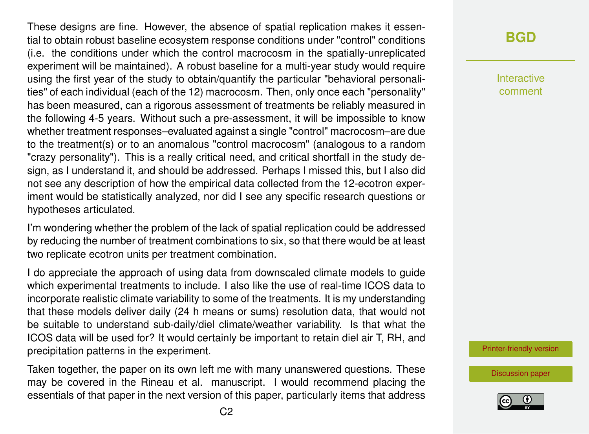These designs are fine. However, the absence of spatial replication makes it essential to obtain robust baseline ecosystem response conditions under "control" conditions (i.e. the conditions under which the control macrocosm in the spatially-unreplicated experiment will be maintained). A robust baseline for a multi-year study would require using the first year of the study to obtain/quantify the particular "behavioral personalities" of each individual (each of the 12) macrocosm. Then, only once each "personality" has been measured, can a rigorous assessment of treatments be reliably measured in the following 4-5 years. Without such a pre-assessment, it will be impossible to know whether treatment responses–evaluated against a single "control" macrocosm–are due to the treatment(s) or to an anomalous "control macrocosm" (analogous to a random "crazy personality"). This is a really critical need, and critical shortfall in the study design, as I understand it, and should be addressed. Perhaps I missed this, but I also did not see any description of how the empirical data collected from the 12-ecotron experiment would be statistically analyzed, nor did I see any specific research questions or hypotheses articulated.

I'm wondering whether the problem of the lack of spatial replication could be addressed by reducing the number of treatment combinations to six, so that there would be at least two replicate ecotron units per treatment combination.

I do appreciate the approach of using data from downscaled climate models to guide which experimental treatments to include. I also like the use of real-time ICOS data to incorporate realistic climate variability to some of the treatments. It is my understanding that these models deliver daily (24 h means or sums) resolution data, that would not be suitable to understand sub-daily/diel climate/weather variability. Is that what the ICOS data will be used for? It would certainly be important to retain diel air T, RH, and precipitation patterns in the experiment.

Taken together, the paper on its own left me with many unanswered questions. These may be covered in the Rineau et al. manuscript. I would recommend placing the essentials of that paper in the next version of this paper, particularly items that address

## **[BGD](https://www.biogeosciences-discuss.net/)**

Interactive comment

[Printer-friendly version](https://www.biogeosciences-discuss.net/bg-2019-267/bg-2019-267-RC1-print.pdf)

[Discussion paper](https://www.biogeosciences-discuss.net/bg-2019-267)